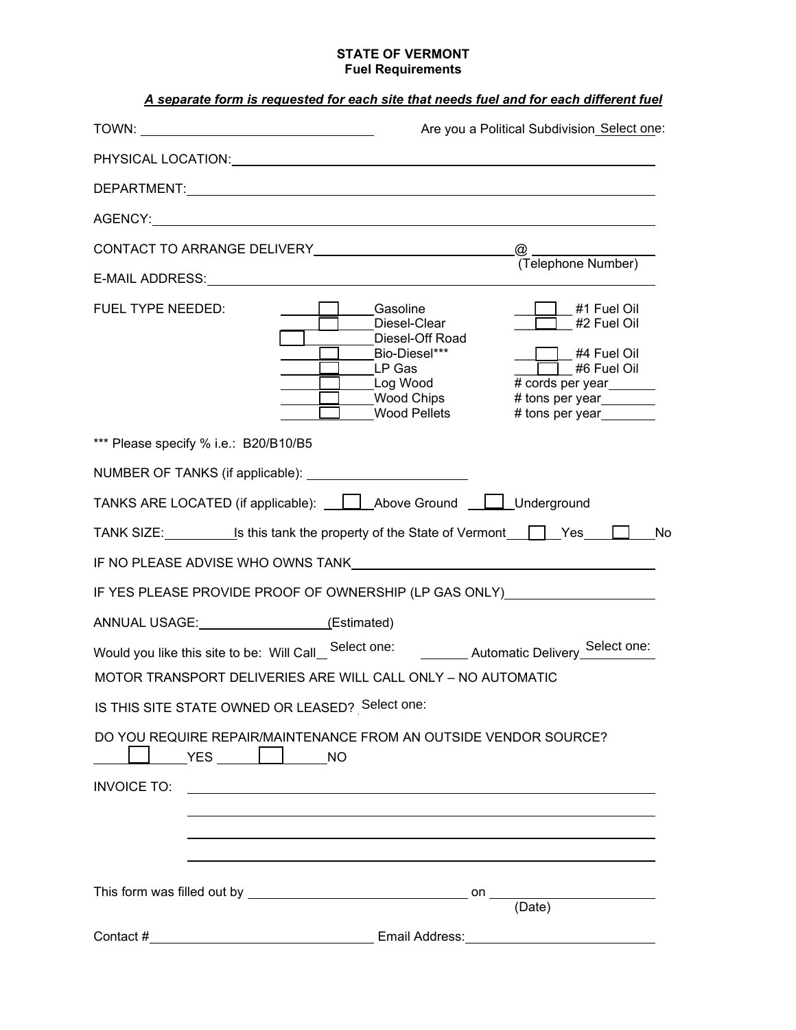## **STATE OF VERMONT Fuel Requirements**

|                                                                                                                                                                                                                                | Are you a Political Subdivision Select one:                                                                                                                                                                                                                          |
|--------------------------------------------------------------------------------------------------------------------------------------------------------------------------------------------------------------------------------|----------------------------------------------------------------------------------------------------------------------------------------------------------------------------------------------------------------------------------------------------------------------|
| PHYSICAL LOCATION: THE STATE OF THE STATE OF THE STATE OF THE STATE OF THE STATE OF THE STATE OF THE STATE OF T                                                                                                                |                                                                                                                                                                                                                                                                      |
|                                                                                                                                                                                                                                |                                                                                                                                                                                                                                                                      |
| AGENCY: A CONTROLLER CONTROLLER CONTROLLER CONTROLLER CONTROLLER CONTROLLER CONTROLLER CONTROLLER CONTROLLER CONTROLLER CONTROLLER CONTROLLER CONTROLLER CONTROLLER CONTROLLER CONTROLLER CONTROLLER CONTROLLER CONTROLLER CON |                                                                                                                                                                                                                                                                      |
|                                                                                                                                                                                                                                | $^{\circledR}$                                                                                                                                                                                                                                                       |
| E-MAIL ADDRESS: New York Contract and Contract of the Contract of the Contract of the Contract of the Contract of the Contract of the Contract of the Contract of the Contract of the Contract of the Contract of the Contract | @<br>(Telephone Number)                                                                                                                                                                                                                                              |
| FUEL TYPE NEEDED:                                                                                                                                                                                                              | Gasoline<br>#1 Fuel Oil<br>Diesel-Clear<br>#2 Fuel Oil<br>Diesel-Off Road<br>Bio-Diesel***<br>#4 Fuel Oil<br>$\Box$ #6 Fuel Oil<br>LP Gas<br>Log Wood<br># cords per year________<br>Wood Chips<br># tons per year________<br><b>Wood Pellets</b><br># tons per year |
| *** Please specify % i.e.: B20/B10/B5                                                                                                                                                                                          |                                                                                                                                                                                                                                                                      |
|                                                                                                                                                                                                                                |                                                                                                                                                                                                                                                                      |
|                                                                                                                                                                                                                                | TANKS ARE LOCATED (if applicable):     Above Ground     Underground                                                                                                                                                                                                  |
|                                                                                                                                                                                                                                | TANK SIZE: $\qquad \qquad$ Is this tank the property of the State of Vermont $\qquad \qquad$ Yes<br>No                                                                                                                                                               |
|                                                                                                                                                                                                                                | IF NO PLEASE ADVISE WHO OWNS TANK THE RELATIONS OF A RELATION OF A RELATION OF A RELATION OF A RELATION OF A R                                                                                                                                                       |
|                                                                                                                                                                                                                                | IF YES PLEASE PROVIDE PROOF OF OWNERSHIP (LP GAS ONLY) _________________________                                                                                                                                                                                     |
| ANNUAL USAGE: (Estimated)                                                                                                                                                                                                      |                                                                                                                                                                                                                                                                      |
| Would you like this site to be: Will Call_                                                                                                                                                                                     | Automatic Delivery_Select one:<br>Select one:                                                                                                                                                                                                                        |
|                                                                                                                                                                                                                                | MOTOR TRANSPORT DELIVERIES ARE WILL CALL ONLY - NO AUTOMATIC                                                                                                                                                                                                         |
| IS THIS SITE STATE OWNED OR LEASED? Select one:                                                                                                                                                                                |                                                                                                                                                                                                                                                                      |
| YES NO                                                                                                                                                                                                                         | DO YOU REQUIRE REPAIR/MAINTENANCE FROM AN OUTSIDE VENDOR SOURCE?                                                                                                                                                                                                     |
| <b>INVOICE TO:</b>                                                                                                                                                                                                             | <u> 1980 - Johann Barn, mars ann an t-Amhain Aonaich an t-Aonaich an t-Aonaich ann an t-Aonaich ann an t-Aonaich</u>                                                                                                                                                 |
|                                                                                                                                                                                                                                | (Date)                                                                                                                                                                                                                                                               |
| Contact #                                                                                                                                                                                                                      |                                                                                                                                                                                                                                                                      |
| <u> 1989 - Johann Stoff, deutscher Stoffen und der Stoffen und der Stoffen und der Stoffen und der Stoffen und der</u>                                                                                                         |                                                                                                                                                                                                                                                                      |